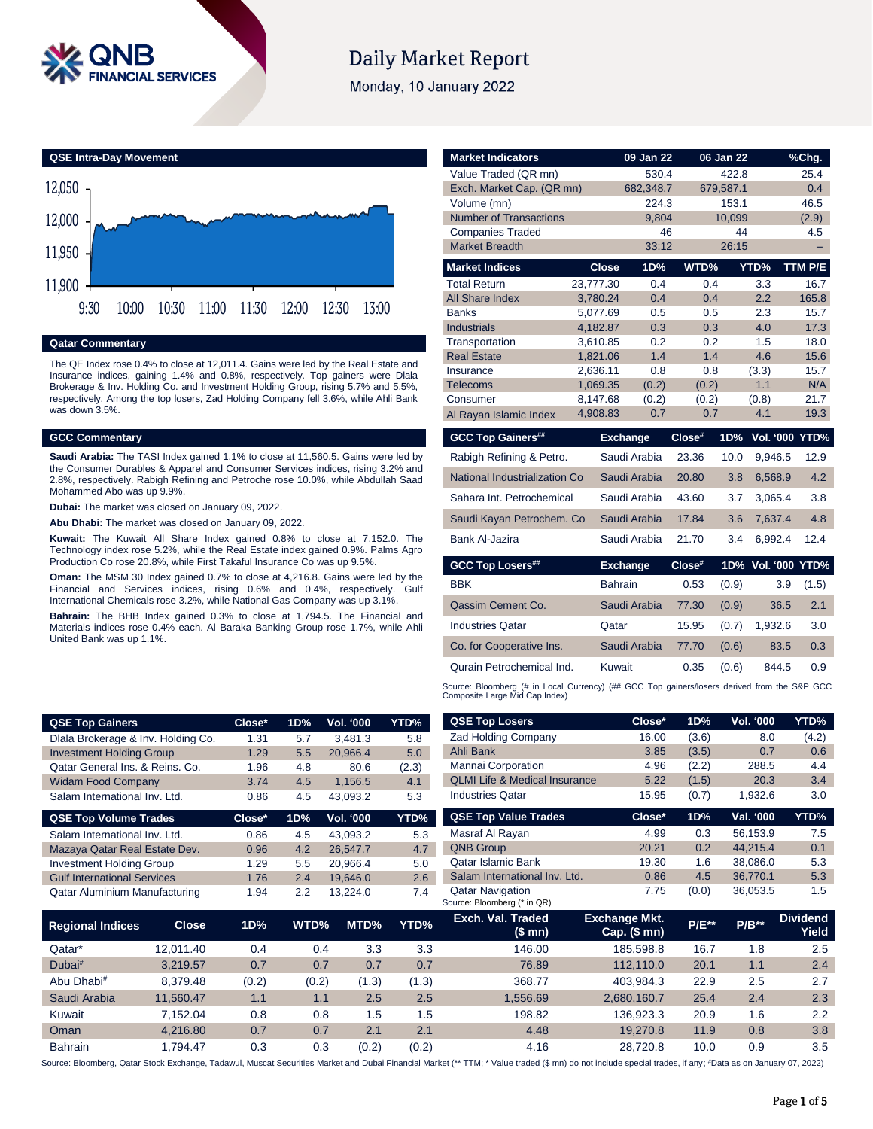

# Daily Market Report

Monday, 10 January 2022

# **QSE Intra-Day Movement**



## **Qatar Commentary**

The QE Index rose 0.4% to close at 12,011.4. Gains were led by the Real Estate and Insurance indices, gaining 1.4% and 0.8%, respectively. Top gainers were Dlala Brokerage & Inv. Holding Co. and Investment Holding Group, rising 5.7% and 5.5%, respectively. Among the top losers, Zad Holding Company fell 3.6%, while Ahli Bank was down 3.5%.

## **GCC Commentary**

**Saudi Arabia:** The TASI Index gained 1.1% to close at 11,560.5. Gains were led by the Consumer Durables & Apparel and Consumer Services indices, rising 3.2% and 2.8%, respectively. Rabigh Refining and Petroche rose 10.0%, while Abdullah Saad Mohammed Abo was up 9.9%.

**Dubai:** The market was closed on January 09, 2022.

**Abu Dhabi:** The market was closed on January 09, 2022.

**Kuwait:** The Kuwait All Share Index gained 0.8% to close at 7,152.0. The Technology index rose 5.2%, while the Real Estate index gained 0.9%. Palms Agro Production Co rose 20.8%, while First Takaful Insurance Co was up 9.5%.

**Oman:** The MSM 30 Index gained 0.7% to close at 4,216.8. Gains were led by the Financial and Services indices, rising 0.6% and 0.4%, respectively. Gulf International Chemicals rose 3.2%, while National Gas Company was up 3.1%.

**Bahrain:** The BHB Index gained 0.3% to close at 1,794.5. The Financial and Materials indices rose 0.4% each. Al Baraka Banking Group rose 1.7%, while Ahli United Bank was up 1.1%.

| <b>Market Indicators</b>      |                | 09 Jan 22       |        | 06 Jan 22 |                    | %Chg.   |
|-------------------------------|----------------|-----------------|--------|-----------|--------------------|---------|
| Value Traded (QR mn)          |                | 530.4           |        | 422.8     |                    | 25.4    |
| Exch. Market Cap. (QR mn)     |                | 682,348.7       |        | 679,587.1 |                    | 0.4     |
| Volume (mn)                   |                | 224.3           |        | 153.1     |                    | 46.5    |
| <b>Number of Transactions</b> |                | 9,804           |        | 10,099    |                    | (2.9)   |
| <b>Companies Traded</b>       |                | 46              |        | 44        |                    | 4.5     |
| <b>Market Breadth</b>         |                | 33:12           |        | 26:15     |                    |         |
| <b>Market Indices</b>         | <b>Close</b>   | 1D%             | WTD%   |           | YTD%               | TTM P/E |
| <b>Total Return</b>           | 23,777.30      | 0.4             | 0.4    |           | 3.3                | 16.7    |
| All Share Index               | 3,780.24       | 0.4             | 0.4    |           | 2.2                | 165.8   |
| <b>Banks</b>                  | 5,077.69       | 0.5             | 0.5    |           | 2.3                | 15.7    |
| <b>Industrials</b>            | 4,182.87       | 0.3             | 0.3    |           | 4.0                | 17.3    |
| Transportation                | 3,610.85       | 0.2             | 0.2    |           | 1.5                | 18.0    |
| <b>Real Estate</b>            | 1,821.06       | 1.4             | 1.4    |           | 4.6                | 15.6    |
| Insurance                     | 2,636.11       | 0.8             | 0.8    |           | (3.3)              | 15.7    |
| <b>Telecoms</b>               | 1,069.35       | (0.2)           | (0.2)  |           | 1.1                | N/A     |
| Consumer                      | 8,147.68       | (0.2)           | (0.2)  |           | (0.8)              | 21.7    |
| Al Rayan Islamic Index        | 4,908.83       | 0.7             | 0.7    |           | 4.1                | 19.3    |
| <b>GCC Top Gainers##</b>      |                | <b>Exchange</b> | Close# | 1D%       | Vol. '000 YTD%     |         |
| Rabigh Refining & Petro.      |                | Saudi Arabia    | 23.36  | 10.0      | 9.946.5            | 12.9    |
| National Industrialization Co |                | Saudi Arabia    | 20.80  | 3.8       | 6,568.9            | 4.2     |
| Sahara Int. Petrochemical     |                | Saudi Arabia    | 43.60  | 3.7       | 3.065.4            | 3.8     |
| Saudi Kayan Petrochem. Co     |                | Saudi Arabia    | 17.84  | 3.6       | 7,637.4            | 4.8     |
| Bank Al-Jazira                |                | Saudi Arabia    | 21.70  | 3.4       | 6,992.4            | 12.4    |
| <b>GCC Top Losers##</b>       |                | <b>Exchange</b> | Close# |           | 1D% Vol. '000 YTD% |         |
| <b>BBK</b>                    | <b>Bahrain</b> |                 | 0.53   | (0.9)     | 3.9                | (1.5)   |
| Qassim Cement Co.             |                | Saudi Arabia    | 77.30  | (0.9)     | 36.5               | 2.1     |
| <b>Industries Qatar</b>       | Qatar          |                 | 15.95  | (0.7)     | 1,932.6            | 3.0     |
| Co. for Cooperative Ins.      |                | Saudi Arabia    | 77.70  | (0.6)     | 83.5               | 0.3     |

Qurain Petrochemical Ind. Kuwait 0.35 (0.6) 844.5 0.9 Source: Bloomberg (# in Local Currency) (## GCC Top gainers/losers derived from the S&P GCC<br>Composite Large Mid Cap Index)

| <b>QSE Top Gainers</b>             |              | Close* | 1D%   | <b>Vol. '000</b> | YTD%           | <b>QSE Top Losers</b>                                  | Close*                               | 1D%      | Vol. '000 | YTD%                     |
|------------------------------------|--------------|--------|-------|------------------|----------------|--------------------------------------------------------|--------------------------------------|----------|-----------|--------------------------|
| Dlala Brokerage & Inv. Holding Co. |              | 1.31   | 5.7   | 3,481.3<br>5.8   |                | <b>Zad Holding Company</b>                             | 16.00                                | (3.6)    | 8.0       | (4.2)                    |
| <b>Investment Holding Group</b>    |              | 1.29   | 5.5   | 20,966.4         | 5.0            | Ahli Bank                                              | 3.85                                 | (3.5)    | 0.7       | 0.6                      |
| Qatar General Ins. & Reins. Co.    |              | 1.96   | 4.8   | 80.6             | (2.3)          | Mannai Corporation                                     | 4.96                                 | (2.2)    | 288.5     | 4.4                      |
| <b>Widam Food Company</b>          |              | 3.74   | 4.5   | 1,156.5          | 4.1            | <b>QLMI Life &amp; Medical Insurance</b>               | 5.22                                 | (1.5)    | 20.3      | 3.4                      |
| Salam International Inv. Ltd.      |              | 0.86   | 4.5   | 43,093.2         | 5.3            | <b>Industries Qatar</b>                                | 15.95                                | (0.7)    | 1,932.6   | 3.0                      |
| <b>QSE Top Volume Trades</b>       |              | Close* | 1D%   | <b>Vol. '000</b> | YTD%           | <b>QSE Top Value Trades</b>                            | Close*                               | 1D%      | Val. '000 | YTD%                     |
| Salam International Inv. Ltd.      |              | 0.86   | 4.5   | 43,093.2         | 5.3            | Masraf Al Rayan                                        | 4.99                                 | 0.3      | 56,153.9  | 7.5                      |
| Mazaya Qatar Real Estate Dev.      |              | 0.96   | 4.2   | 26,547.7         | 4.7            | <b>QNB Group</b>                                       | 20.21                                | 0.2      | 44,215.4  | 0.1                      |
| <b>Investment Holding Group</b>    |              | 1.29   | 5.5   | 20,966.4         | 5.0            | <b>Qatar Islamic Bank</b>                              | 19.30                                | 1.6      | 38,086.0  | 5.3                      |
| <b>Gulf International Services</b> |              | 1.76   | 2.4   | 19,646.0         | 2.6            | Salam International Inv. Ltd.                          | 0.86                                 | 4.5      | 36,770.1  | 5.3                      |
| Qatar Aluminium Manufacturing      |              | 1.94   | 2.2   | 13,224.0         | 7.4            | <b>Qatar Navigation</b><br>Source: Bloomberg (* in QR) | 7.75                                 | (0.0)    | 36,053.5  | 1.5                      |
| <b>Regional Indices</b>            | <b>Close</b> | 1D%    | WTD%  | MTD%             | YTD%           | Exch. Val. Traded<br>(\$ mn)                           | <b>Exchange Mkt.</b><br>Cap. $($mn)$ | $P/E***$ | $P/B**$   | <b>Dividend</b><br>Yield |
| Qatar*                             | 12,011.40    | 0.4    |       | 0.4              | 3.3<br>3.3     | 146.00                                                 | 185,598.8                            | 16.7     | 1.8       | 2.5                      |
| Dubai <sup>#</sup>                 | 3,219.57     | 0.7    |       | 0.7              | 0.7<br>0.7     | 76.89                                                  | 112,110.0                            | 20.1     | 1.1       | 2.4                      |
| Abu Dhabi <sup>#</sup>             | 8,379.48     | (0.2)  | (0.2) |                  | (1.3)<br>(1.3) | 368.77                                                 | 403,984.3                            | 22.9     | 2.5       | 2.7                      |
| Saudi Arabia                       | 11,560.47    | 1.1    |       | 1.1              | 2.5<br>2.5     | 1,556.69                                               | 2,680,160.7                          | 25.4     | 2.4       | 2.3                      |
| Kuwait                             | 7,152.04     | 0.8    |       | 0.8              | 1.5<br>1.5     | 198.82                                                 | 136,923.3                            | 20.9     | 1.6       | 2.2                      |
| Oman                               | 4,216.80     | 0.7    |       | 0.7              | 2.1<br>2.1     | 4.48                                                   | 19,270.8                             | 11.9     | 0.8       | 3.8                      |
| <b>Bahrain</b>                     | 1,794.47     | 0.3    |       | 0.3              | (0.2)<br>(0.2) | 4.16                                                   | 28,720.8                             | 10.0     | 0.9       | 3.5                      |

Source: Bloomberg, Qatar Stock Exchange, Tadawul, Muscat Securities Market and Dubai Financial Market (\*\* TTM; \* Value traded (\$ mn) do not include special trades, if any; #Data as on January 07, 2022)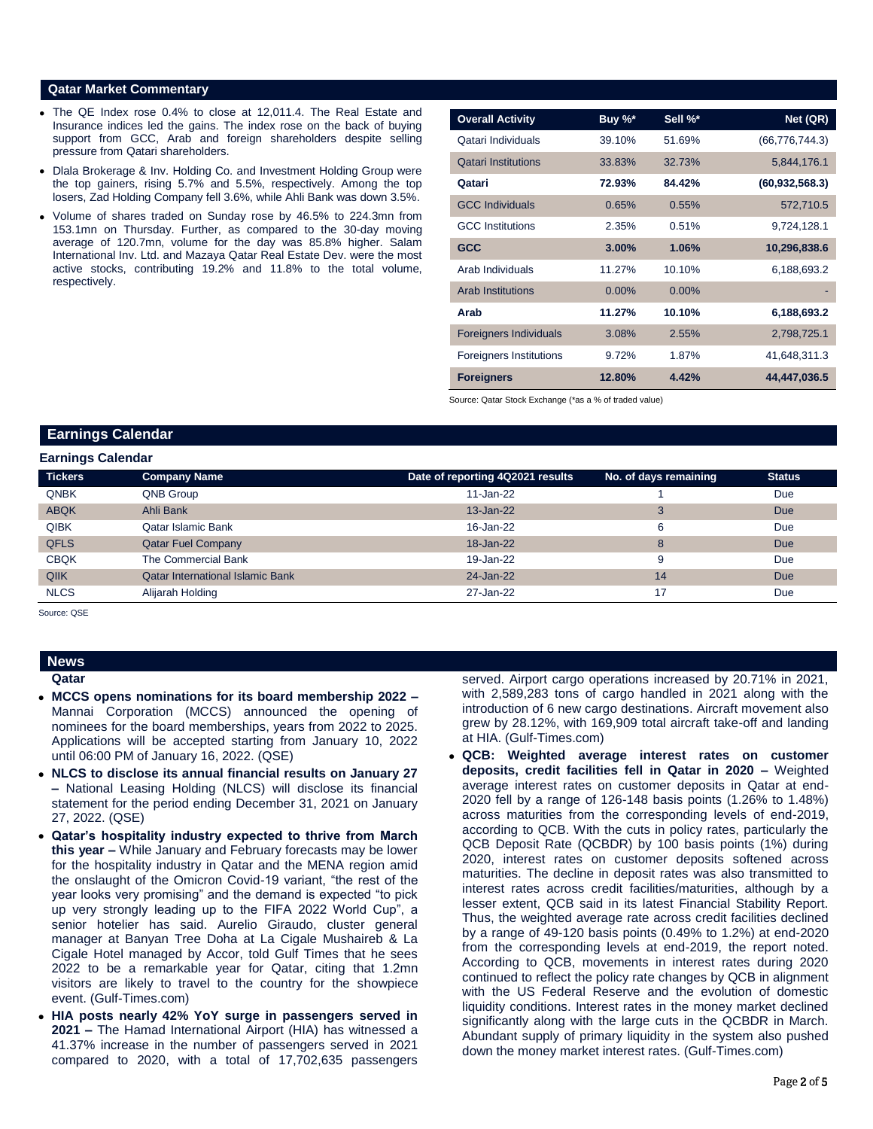## **Qatar Market Commentary**

- The QE Index rose 0.4% to close at 12,011.4. The Real Estate and Insurance indices led the gains. The index rose on the back of buying support from GCC, Arab and foreign shareholders despite selling pressure from Qatari shareholders.
- Dlala Brokerage & Inv. Holding Co. and Investment Holding Group were the top gainers, rising 5.7% and 5.5%, respectively. Among the top losers, Zad Holding Company fell 3.6%, while Ahli Bank was down 3.5%.
- Volume of shares traded on Sunday rose by 46.5% to 224.3mn from 153.1mn on Thursday. Further, as compared to the 30-day moving average of 120.7mn, volume for the day was 85.8% higher. Salam International Inv. Ltd. and Mazaya Qatar Real Estate Dev. were the most active stocks, contributing 19.2% and 11.8% to the total volume, respectively.

| <b>Overall Activity</b>        | Buy %*   | Sell %*  | Net (QR)         |
|--------------------------------|----------|----------|------------------|
| Qatari Individuals             | 39.10%   | 51.69%   | (66, 776, 744.3) |
| <b>Qatari Institutions</b>     | 33.83%   | 32.73%   | 5,844,176.1      |
| Qatari                         | 72.93%   | 84.42%   | (60, 932, 568.3) |
| <b>GCC Individuals</b>         | 0.65%    | 0.55%    | 572,710.5        |
| <b>GCC</b> Institutions        | 2.35%    | 0.51%    | 9,724,128.1      |
| <b>GCC</b>                     | $3.00\%$ | 1.06%    | 10,296,838.6     |
| Arab Individuals               | 11.27%   | 10.10%   | 6,188,693.2      |
| <b>Arab Institutions</b>       | $0.00\%$ | $0.00\%$ |                  |
| Arab                           | 11.27%   | 10.10%   | 6,188,693.2      |
| <b>Foreigners Individuals</b>  | 3.08%    | 2.55%    | 2,798,725.1      |
| <b>Foreigners Institutions</b> | 9.72%    | 1.87%    | 41,648,311.3     |
| <b>Foreigners</b>              | 12.80%   | 4.42%    | 44,447,036.5     |

Source: Qatar Stock Exchange (\*as a % of traded value)

# **Earnings Calendar**

| <b>Tickers</b> | <b>Company Name</b>                     | Date of reporting 4Q2021 results | No. of days remaining | <b>Status</b> |
|----------------|-----------------------------------------|----------------------------------|-----------------------|---------------|
| <b>QNBK</b>    | QNB Group                               | 11-Jan-22                        |                       | Due           |
| <b>ABQK</b>    | Ahli Bank                               | 13-Jan-22                        | 3                     | Due           |
| <b>QIBK</b>    | Qatar Islamic Bank                      | 16-Jan-22                        | 6                     | Due           |
| <b>QFLS</b>    | <b>Qatar Fuel Company</b>               | 18-Jan-22                        | 8                     | Due           |
| <b>CBQK</b>    | The Commercial Bank                     | 19-Jan-22                        | 9                     | Due           |
| QIIK           | <b>Qatar International Islamic Bank</b> | 24-Jan-22                        | 14                    | Due           |
| <b>NLCS</b>    | Alijarah Holding                        | 27-Jan-22                        | 17                    | Due           |

Source: QSE

# **News**

**Qatar** 

- **MCCS opens nominations for its board membership 2022 –** Mannai Corporation (MCCS) announced the opening of nominees for the board memberships, years from 2022 to 2025. Applications will be accepted starting from January 10, 2022 until 06:00 PM of January 16, 2022. (QSE)
- **NLCS to disclose its annual financial results on January 27 –** National Leasing Holding (NLCS) will disclose its financial statement for the period ending December 31, 2021 on January 27, 2022. (QSE)
- **Qatar's hospitality industry expected to thrive from March this year –** While January and February forecasts may be lower for the hospitality industry in Qatar and the MENA region amid the onslaught of the Omicron Covid-19 variant, "the rest of the year looks very promising" and the demand is expected "to pick up very strongly leading up to the FIFA 2022 World Cup", a senior hotelier has said. Aurelio Giraudo, cluster general manager at Banyan Tree Doha at La Cigale Mushaireb & La Cigale Hotel managed by Accor, told Gulf Times that he sees 2022 to be a remarkable year for Qatar, citing that 1.2mn visitors are likely to travel to the country for the showpiece event. (Gulf-Times.com)
- **HIA posts nearly 42% YoY surge in passengers served in 2021 –** The Hamad International Airport (HIA) has witnessed a 41.37% increase in the number of passengers served in 2021 compared to 2020, with a total of 17,702,635 passengers

served. Airport cargo operations increased by 20.71% in 2021, with 2,589,283 tons of cargo handled in 2021 along with the introduction of 6 new cargo destinations. Aircraft movement also grew by 28.12%, with 169,909 total aircraft take-off and landing at HIA. (Gulf-Times.com)

 **QCB: Weighted average interest rates on customer deposits, credit facilities fell in Qatar in 2020 –** Weighted average interest rates on customer deposits in Qatar at end-2020 fell by a range of 126-148 basis points (1.26% to 1.48%) across maturities from the corresponding levels of end-2019, according to QCB. With the cuts in policy rates, particularly the QCB Deposit Rate (QCBDR) by 100 basis points (1%) during 2020, interest rates on customer deposits softened across maturities. The decline in deposit rates was also transmitted to interest rates across credit facilities/maturities, although by a lesser extent, QCB said in its latest Financial Stability Report. Thus, the weighted average rate across credit facilities declined by a range of 49-120 basis points (0.49% to 1.2%) at end-2020 from the corresponding levels at end-2019, the report noted. According to QCB, movements in interest rates during 2020 continued to reflect the policy rate changes by QCB in alignment with the US Federal Reserve and the evolution of domestic liquidity conditions. Interest rates in the money market declined significantly along with the large cuts in the QCBDR in March. Abundant supply of primary liquidity in the system also pushed down the money market interest rates. (Gulf-Times.com)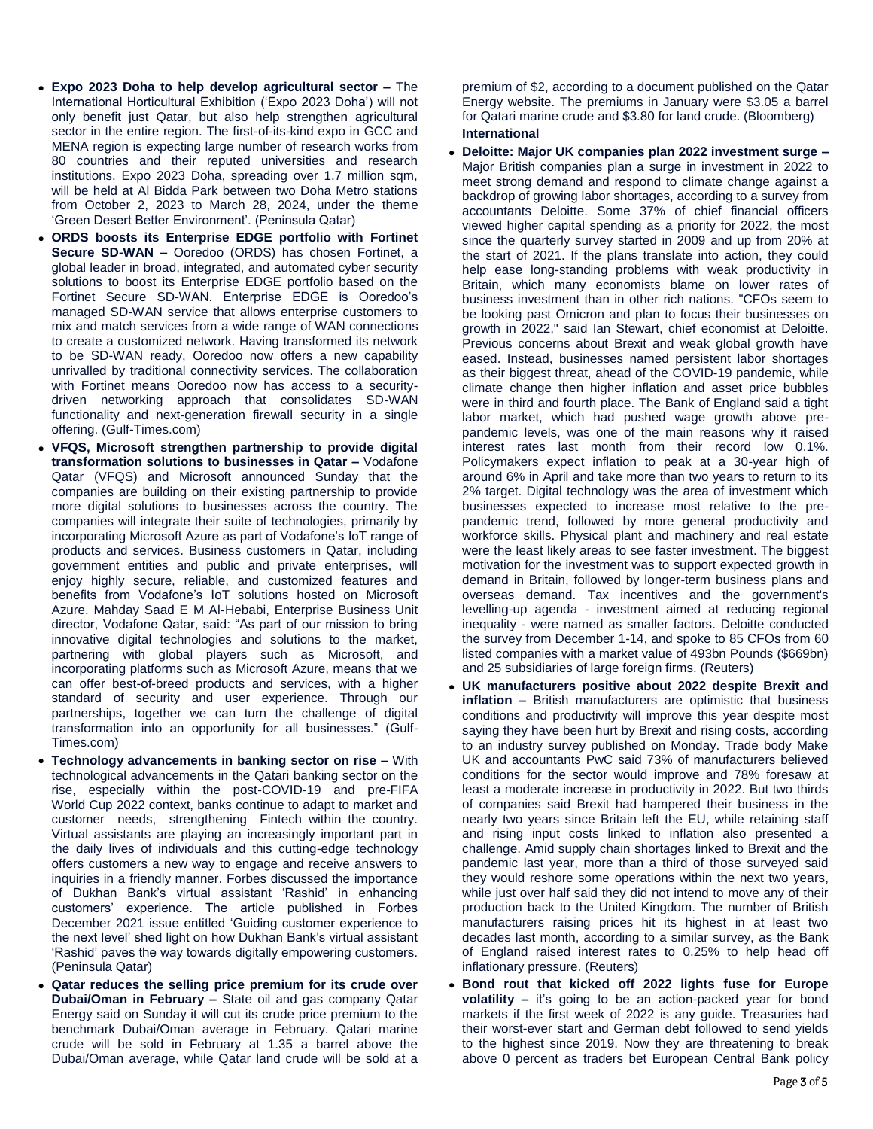- **Expo 2023 Doha to help develop agricultural sector –** The International Horticultural Exhibition ('Expo 2023 Doha') will not only benefit just Qatar, but also help strengthen agricultural sector in the entire region. The first-of-its-kind expo in GCC and MENA region is expecting large number of research works from 80 countries and their reputed universities and research institutions. Expo 2023 Doha, spreading over 1.7 million sqm, will be held at Al Bidda Park between two Doha Metro stations from October 2, 2023 to March 28, 2024, under the theme 'Green Desert Better Environment'. (Peninsula Qatar)
- **ORDS boosts its Enterprise EDGE portfolio with Fortinet Secure SD-WAN –** Ooredoo (ORDS) has chosen Fortinet, a global leader in broad, integrated, and automated cyber security solutions to boost its Enterprise EDGE portfolio based on the Fortinet Secure SD-WAN. Enterprise EDGE is Ooredoo's managed SD-WAN service that allows enterprise customers to mix and match services from a wide range of WAN connections to create a customized network. Having transformed its network to be SD-WAN ready, Ooredoo now offers a new capability unrivalled by traditional connectivity services. The collaboration with Fortinet means Ooredoo now has access to a securitydriven networking approach that consolidates SD-WAN functionality and next-generation firewall security in a single offering. (Gulf-Times.com)
- **VFQS, Microsoft strengthen partnership to provide digital transformation solutions to businesses in Qatar –** Vodafone Qatar (VFQS) and Microsoft announced Sunday that the companies are building on their existing partnership to provide more digital solutions to businesses across the country. The companies will integrate their suite of technologies, primarily by incorporating Microsoft Azure as part of Vodafone's IoT range of products and services. Business customers in Qatar, including government entities and public and private enterprises, will enjoy highly secure, reliable, and customized features and benefits from Vodafone's IoT solutions hosted on Microsoft Azure. Mahday Saad E M Al-Hebabi, Enterprise Business Unit director, Vodafone Qatar, said: "As part of our mission to bring innovative digital technologies and solutions to the market, partnering with global players such as Microsoft, and incorporating platforms such as Microsoft Azure, means that we can offer best-of-breed products and services, with a higher standard of security and user experience. Through our partnerships, together we can turn the challenge of digital transformation into an opportunity for all businesses." (Gulf-Times.com)
- **Technology advancements in banking sector on rise –** With technological advancements in the Qatari banking sector on the rise, especially within the post-COVID-19 and pre-FIFA World Cup 2022 context, banks continue to adapt to market and customer needs, strengthening Fintech within the country. Virtual assistants are playing an increasingly important part in the daily lives of individuals and this cutting-edge technology offers customers a new way to engage and receive answers to inquiries in a friendly manner. Forbes discussed the importance of Dukhan Bank's virtual assistant 'Rashid' in enhancing customers' experience. The article published in Forbes December 2021 issue entitled 'Guiding customer experience to the next level' shed light on how Dukhan Bank's virtual assistant 'Rashid' paves the way towards digitally empowering customers. (Peninsula Qatar)
- **Qatar reduces the selling price premium for its crude over Dubai/Oman in February –** State oil and gas company Qatar Energy said on Sunday it will cut its crude price premium to the benchmark Dubai/Oman average in February. Qatari marine crude will be sold in February at 1.35 a barrel above the Dubai/Oman average, while Qatar land crude will be sold at a

premium of \$2, according to a document published on the Qatar Energy website. The premiums in January were \$3.05 a barrel for Qatari marine crude and \$3.80 for land crude. (Bloomberg) **International**

- **Deloitte: Major UK companies plan 2022 investment surge –** Major British companies plan a surge in investment in 2022 to meet strong demand and respond to climate change against a backdrop of growing labor shortages, according to a survey from accountants Deloitte. Some 37% of chief financial officers viewed higher capital spending as a priority for 2022, the most since the quarterly survey started in 2009 and up from 20% at the start of 2021. If the plans translate into action, they could help ease long-standing problems with weak productivity in Britain, which many economists blame on lower rates of business investment than in other rich nations. "CFOs seem to be looking past Omicron and plan to focus their businesses on growth in 2022," said Ian Stewart, chief economist at Deloitte. Previous concerns about Brexit and weak global growth have eased. Instead, businesses named persistent labor shortages as their biggest threat, ahead of the COVID-19 pandemic, while climate change then higher inflation and asset price bubbles were in third and fourth place. The Bank of England said a tight labor market, which had pushed wage growth above prepandemic levels, was one of the main reasons why it raised interest rates last month from their record low 0.1%. Policymakers expect inflation to peak at a 30-year high of around 6% in April and take more than two years to return to its 2% target. Digital technology was the area of investment which businesses expected to increase most relative to the prepandemic trend, followed by more general productivity and workforce skills. Physical plant and machinery and real estate were the least likely areas to see faster investment. The biggest motivation for the investment was to support expected growth in demand in Britain, followed by longer-term business plans and overseas demand. Tax incentives and the government's levelling-up agenda - investment aimed at reducing regional inequality - were named as smaller factors. Deloitte conducted the survey from December 1-14, and spoke to 85 CFOs from 60 listed companies with a market value of 493bn Pounds (\$669bn) and 25 subsidiaries of large foreign firms. (Reuters)
- **UK manufacturers positive about 2022 despite Brexit and inflation –** British manufacturers are optimistic that business conditions and productivity will improve this year despite most saying they have been hurt by Brexit and rising costs, according to an industry survey published on Monday. Trade body Make UK and accountants PwC said 73% of manufacturers believed conditions for the sector would improve and 78% foresaw at least a moderate increase in productivity in 2022. But two thirds of companies said Brexit had hampered their business in the nearly two years since Britain left the EU, while retaining staff and rising input costs linked to inflation also presented a challenge. Amid supply chain shortages linked to Brexit and the pandemic last year, more than a third of those surveyed said they would reshore some operations within the next two years, while just over half said they did not intend to move any of their production back to the United Kingdom. The number of British manufacturers raising prices hit its highest in at least two decades last month, according to a similar survey, as the Bank of England raised interest rates to 0.25% to help head off inflationary pressure. (Reuters)
- **Bond rout that kicked off 2022 lights fuse for Europe volatility –** it's going to be an action-packed year for bond markets if the first week of 2022 is any guide. Treasuries had their worst-ever start and German debt followed to send yields to the highest since 2019. Now they are threatening to break above 0 percent as traders bet European Central Bank policy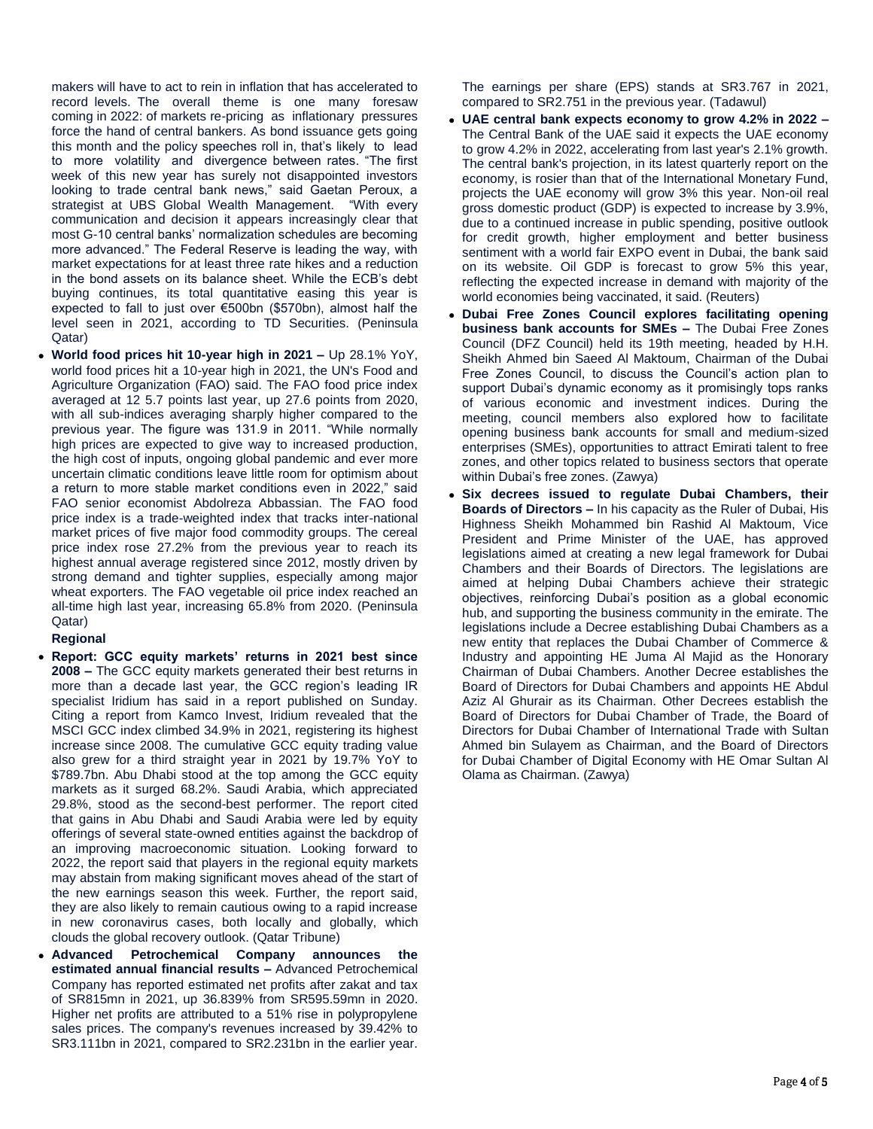makers will have to act to rein in inflation that has accelerated to record levels. The overall theme is one many foresaw coming in 2022: of markets re-pricing as inflationary pressures force the hand of central bankers. As bond issuance gets going this month and the policy speeches roll in, that's likely to lead to more volatility and divergence between rates. "The first week of this new year has surely not disappointed investors looking to trade central bank news," said Gaetan Peroux, a strategist at UBS Global Wealth Management. "With every communication and decision it appears increasingly clear that most G-10 central banks' normalization schedules are becoming more advanced." The Federal Reserve is leading the way, with market expectations for at least three rate hikes and a reduction in the bond assets on its balance sheet. While the ECB's debt buying continues, its total quantitative easing this year is expected to fall to just over €500bn (\$570bn), almost half the level seen in 2021, according to TD Securities. (Peninsula Qatar)

 **World food prices hit 10-year high in 2021 –** Up 28.1% YoY, world food prices hit a 10-year high in 2021, the UN's Food and Agriculture Organization (FAO) said. The FAO food price index averaged at 12 5.7 points last year, up 27.6 points from 2020, with all sub-indices averaging sharply higher compared to the previous year. The figure was 131.9 in 2011. "While normally high prices are expected to give way to increased production, the high cost of inputs, ongoing global pandemic and ever more uncertain climatic conditions leave little room for optimism about a return to more stable market conditions even in 2022," said FAO senior economist Abdolreza Abbassian. The FAO food price index is a trade-weighted index that tracks inter-national market prices of five major food commodity groups. The cereal price index rose 27.2% from the previous year to reach its highest annual average registered since 2012, mostly driven by strong demand and tighter supplies, especially among major wheat exporters. The FAO vegetable oil price index reached an all-time high last year, increasing 65.8% from 2020. (Peninsula Qatar)

# **Regional**

- **Report: GCC equity markets' returns in 2021 best since 2008 –** The GCC equity markets generated their best returns in more than a decade last year, the GCC region's leading IR specialist Iridium has said in a report published on Sunday. Citing a report from Kamco Invest, Iridium revealed that the MSCI GCC index climbed 34.9% in 2021, registering its highest increase since 2008. The cumulative GCC equity trading value also grew for a third straight year in 2021 by 19.7% YoY to \$789.7bn. Abu Dhabi stood at the top among the GCC equity markets as it surged 68.2%. Saudi Arabia, which appreciated 29.8%, stood as the second-best performer. The report cited that gains in Abu Dhabi and Saudi Arabia were led by equity offerings of several state-owned entities against the backdrop of an improving macroeconomic situation. Looking forward to 2022, the report said that players in the regional equity markets may abstain from making significant moves ahead of the start of the new earnings season this week. Further, the report said, they are also likely to remain cautious owing to a rapid increase in new coronavirus cases, both locally and globally, which clouds the global recovery outlook. (Qatar Tribune)
- **Advanced Petrochemical Company announces the estimated annual financial results –** Advanced Petrochemical Company has reported estimated net profits after zakat and tax of SR815mn in 2021, up 36.839% from SR595.59mn in 2020. Higher net profits are attributed to a 51% rise in polypropylene sales prices. The company's revenues increased by 39.42% to SR3.111bn in 2021, compared to SR2.231bn in the earlier year.

The earnings per share (EPS) stands at SR3.767 in 2021, compared to SR2.751 in the previous year. (Tadawul)

- **UAE central bank expects economy to grow 4.2% in 2022 –** The Central Bank of the UAE said it expects the UAE economy to grow 4.2% in 2022, accelerating from last year's 2.1% growth. The central bank's projection, in its latest quarterly report on the economy, is rosier than that of the International Monetary Fund, projects the UAE economy will grow 3% this year. Non-oil real gross domestic product (GDP) is expected to increase by 3.9%, due to a continued increase in public spending, positive outlook for credit growth, higher employment and better business sentiment with a world fair EXPO event in Dubai, the bank said on its website. Oil GDP is forecast to grow 5% this year, reflecting the expected increase in demand with majority of the world economies being vaccinated, it said. (Reuters)
- **Dubai Free Zones Council explores facilitating opening business bank accounts for SMEs –** The Dubai Free Zones Council (DFZ Council) held its 19th meeting, headed by H.H. Sheikh Ahmed bin Saeed Al Maktoum, Chairman of the Dubai Free Zones Council, to discuss the Council's action plan to support Dubai's dynamic economy as it promisingly tops ranks of various economic and investment indices. During the meeting, council members also explored how to facilitate opening business bank accounts for small and medium-sized enterprises (SMEs), opportunities to attract Emirati talent to free zones, and other topics related to business sectors that operate within Dubai's free zones. (Zawya)
- **Six decrees issued to regulate Dubai Chambers, their Boards of Directors –** In his capacity as the Ruler of Dubai, His Highness Sheikh Mohammed bin Rashid Al Maktoum, Vice President and Prime Minister of the UAE, has approved legislations aimed at creating a new legal framework for Dubai Chambers and their Boards of Directors. The legislations are aimed at helping Dubai Chambers achieve their strategic objectives, reinforcing Dubai's position as a global economic hub, and supporting the business community in the emirate. The legislations include a Decree establishing Dubai Chambers as a new entity that replaces the Dubai Chamber of Commerce & Industry and appointing HE Juma Al Majid as the Honorary Chairman of Dubai Chambers. Another Decree establishes the Board of Directors for Dubai Chambers and appoints HE Abdul Aziz Al Ghurair as its Chairman. Other Decrees establish the Board of Directors for Dubai Chamber of Trade, the Board of Directors for Dubai Chamber of International Trade with Sultan Ahmed bin Sulayem as Chairman, and the Board of Directors for Dubai Chamber of Digital Economy with HE Omar Sultan Al Olama as Chairman. (Zawya)